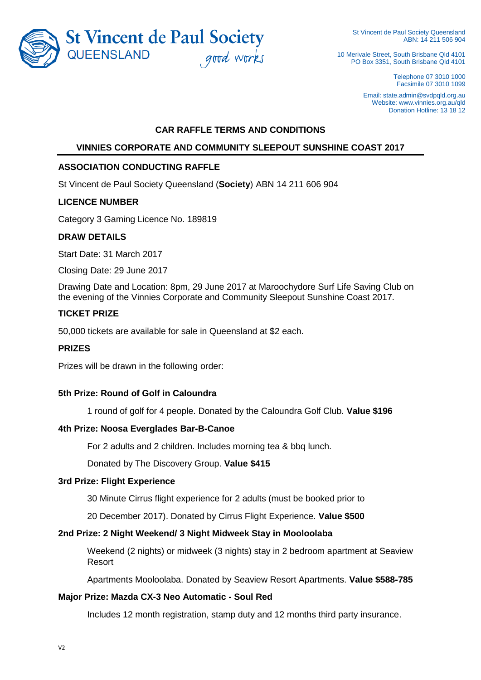

St Vincent de Paul Society Queensland ABN: 14 211 506 904

10 Merivale Street, South Brisbane Qld 4101 PO Box 3351, South Brisbane Qld 4101

> Telephone 07 3010 1000 Facsimile 07 3010 1099

Email: state.admin@svdpqld.org.au Website: www.vinnies.org.au/gld Donation Hotline: 13 18 12

## **CAR RAFFLE TERMS AND CONDITIONS**

# **VINNIES CORPORATE AND COMMUNITY SLEEPOUT SUNSHINE COAST 2017**

### **ASSOCIATION CONDUCTING RAFFLE**

St Vincent de Paul Society Queensland (**Society**) ABN 14 211 606 904

### **LICENCE NUMBER**

Category 3 Gaming Licence No. 189819

### **DRAW DETAILS**

Start Date: 31 March 2017

Closing Date: 29 June 2017

Drawing Date and Location: 8pm, 29 June 2017 at Maroochydore Surf Life Saving Club on the evening of the Vinnies Corporate and Community Sleepout Sunshine Coast 2017.

## **TICKET PRIZE**

50,000 tickets are available for sale in Queensland at \$2 each.

## **PRIZES**

Prizes will be drawn in the following order:

## **5th Prize: Round of Golf in Caloundra**

1 round of golf for 4 people. Donated by the Caloundra Golf Club. **Value \$196** 

#### **4th Prize: Noosa Everglades Bar-B-Canoe**

For 2 adults and 2 children. Includes morning tea & bbq lunch.

Donated by The Discovery Group. **Value \$415** 

### **3rd Prize: Flight Experience**

30 Minute Cirrus flight experience for 2 adults (must be booked prior to

20 December 2017). Donated by Cirrus Flight Experience. **Value \$500** 

#### **2nd Prize: 2 Night Weekend/ 3 Night Midweek Stay in Mooloolaba**

Weekend (2 nights) or midweek (3 nights) stay in 2 bedroom apartment at Seaview Resort

Apartments Mooloolaba. Donated by Seaview Resort Apartments. **Value \$588-785** 

## **Major Prize: Mazda CX-3 Neo Automatic - Soul Red**

Includes 12 month registration, stamp duty and 12 months third party insurance.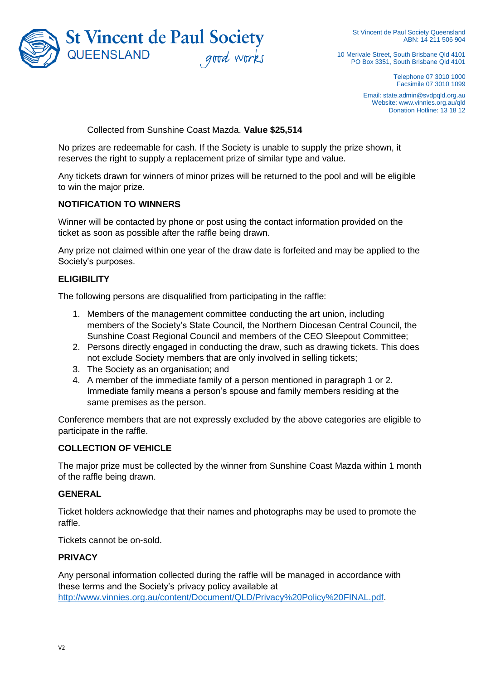

St Vincent de Paul Society Queensland ABN: 14 211 506 904

10 Merivale Street, South Brisbane Qld 4101 PO Box 3351, South Brisbane Qld 4101

> Telephone 07 3010 1000 Facsimile 07 3010 1099

Email: state.admin@svdpqld.org.au Website: www.vinnies.org.au/qld Donation Hotline: 13 18 12

Collected from Sunshine Coast Mazda. **Value \$25,514** 

No prizes are redeemable for cash. If the Society is unable to supply the prize shown, it reserves the right to supply a replacement prize of similar type and value.

Any tickets drawn for winners of minor prizes will be returned to the pool and will be eligible to win the major prize.

### **NOTIFICATION TO WINNERS**

Winner will be contacted by phone or post using the contact information provided on the ticket as soon as possible after the raffle being drawn.

Any prize not claimed within one year of the draw date is forfeited and may be applied to the Society's purposes.

## **ELIGIBILITY**

The following persons are disqualified from participating in the raffle:

- 1. Members of the management committee conducting the art union, including members of the Society's State Council, the Northern Diocesan Central Council, the Sunshine Coast Regional Council and members of the CEO Sleepout Committee;
- 2. Persons directly engaged in conducting the draw, such as drawing tickets. This does not exclude Society members that are only involved in selling tickets;
- 3. The Society as an organisation; and
- 4. A member of the immediate family of a person mentioned in paragraph 1 or 2. Immediate family means a person's spouse and family members residing at the same premises as the person.

Conference members that are not expressly excluded by the above categories are eligible to participate in the raffle.

### **COLLECTION OF VEHICLE**

The major prize must be collected by the winner from Sunshine Coast Mazda within 1 month of the raffle being drawn.

#### **GENERAL**

Ticket holders acknowledge that their names and photographs may be used to promote the raffle.

Tickets cannot be on-sold.

#### **PRIVACY**

Any personal information collected during the raffle will be managed in accordance with these terms and the Society's privacy policy available at [http://www.vinnies.org.au/content/Document/QLD/Privacy%20Policy%20FINAL.pdf.](http://www.vinnies.org.au/content/Document/QLD/Privacy%20Policy%20FINAL.pdf)